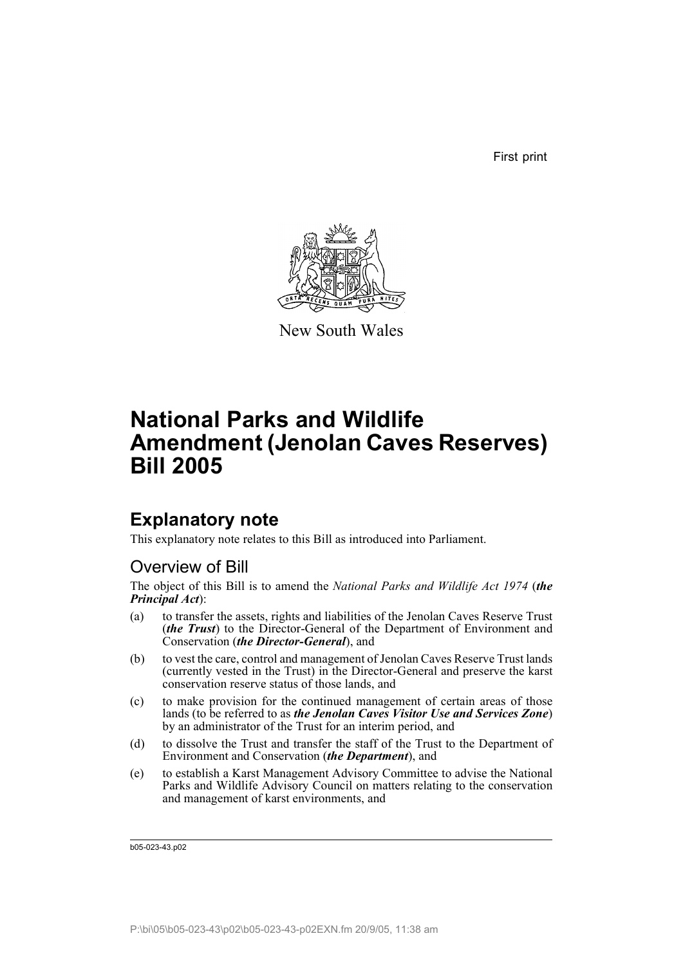First print



New South Wales

# **National Parks and Wildlife Amendment (Jenolan Caves Reserves) Bill 2005**

# **Explanatory note**

This explanatory note relates to this Bill as introduced into Parliament.

## Overview of Bill

The object of this Bill is to amend the *National Parks and Wildlife Act 1974* (*the Principal Act*):

- (a) to transfer the assets, rights and liabilities of the Jenolan Caves Reserve Trust (*the Trust*) to the Director-General of the Department of Environment and Conservation (*the Director-General*), and
- (b) to vest the care, control and management of Jenolan Caves Reserve Trust lands (currently vested in the Trust) in the Director-General and preserve the karst conservation reserve status of those lands, and
- (c) to make provision for the continued management of certain areas of those lands (to be referred to as *the Jenolan Caves Visitor Use and Services Zone*) by an administrator of the Trust for an interim period, and
- (d) to dissolve the Trust and transfer the staff of the Trust to the Department of Environment and Conservation (*the Department*), and
- (e) to establish a Karst Management Advisory Committee to advise the National Parks and Wildlife Advisory Council on matters relating to the conservation and management of karst environments, and

b05-023-43.p02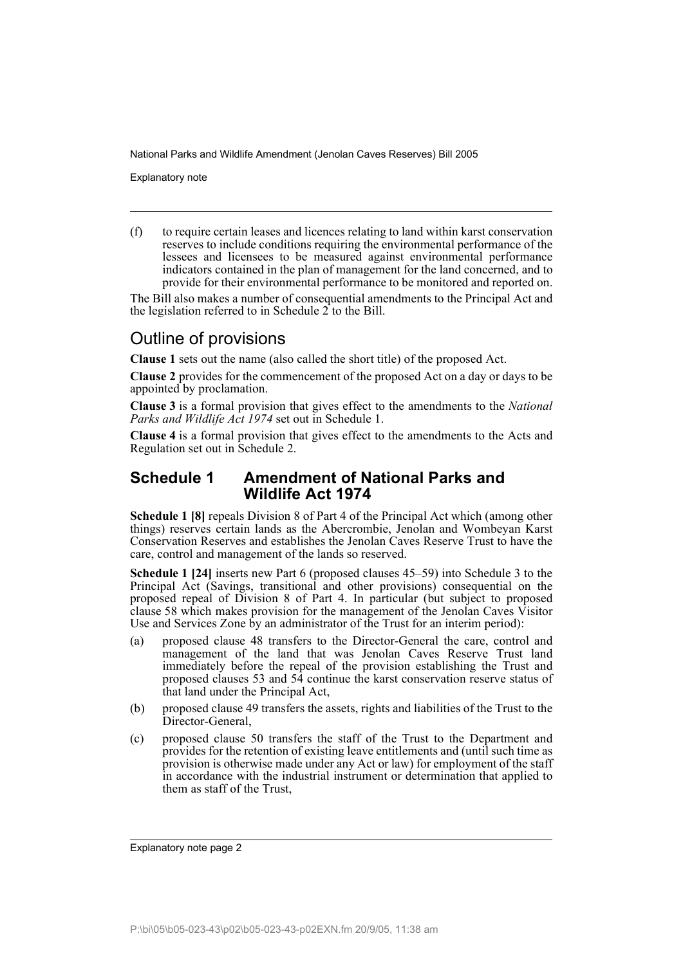Explanatory note

(f) to require certain leases and licences relating to land within karst conservation reserves to include conditions requiring the environmental performance of the lessees and licensees to be measured against environmental performance indicators contained in the plan of management for the land concerned, and to provide for their environmental performance to be monitored and reported on.

The Bill also makes a number of consequential amendments to the Principal Act and the legislation referred to in Schedule  $\tilde{2}$  to the Bill.

## Outline of provisions

**Clause 1** sets out the name (also called the short title) of the proposed Act.

**Clause 2** provides for the commencement of the proposed Act on a day or days to be appointed by proclamation.

**Clause 3** is a formal provision that gives effect to the amendments to the *National Parks and Wildlife Act 1974* set out in Schedule 1.

**Clause 4** is a formal provision that gives effect to the amendments to the Acts and Regulation set out in Schedule 2.

## **Schedule 1 Amendment of National Parks and Wildlife Act 1974**

**Schedule 1 [8]** repeals Division 8 of Part 4 of the Principal Act which (among other things) reserves certain lands as the Abercrombie, Jenolan and Wombeyan Karst Conservation Reserves and establishes the Jenolan Caves Reserve Trust to have the care, control and management of the lands so reserved.

**Schedule 1 [24]** inserts new Part 6 (proposed clauses 45–59) into Schedule 3 to the Principal Act (Savings, transitional and other provisions) consequential on the proposed repeal of Division 8 of Part 4. In particular (but subject to proposed clause 58 which makes provision for the management of the Jenolan Caves Visitor Use and Services Zone by an administrator of the Trust for an interim period):

- (a) proposed clause 48 transfers to the Director-General the care, control and management of the land that was Jenolan Caves Reserve Trust land immediately before the repeal of the provision establishing the Trust and proposed clauses 53 and 54 continue the karst conservation reserve status of that land under the Principal Act,
- (b) proposed clause 49 transfers the assets, rights and liabilities of the Trust to the Director-General,
- (c) proposed clause 50 transfers the staff of the Trust to the Department and provides for the retention of existing leave entitlements and (until such time as provision is otherwise made under any Act or law) for employment of the staff in accordance with the industrial instrument or determination that applied to them as staff of the Trust,

Explanatory note page 2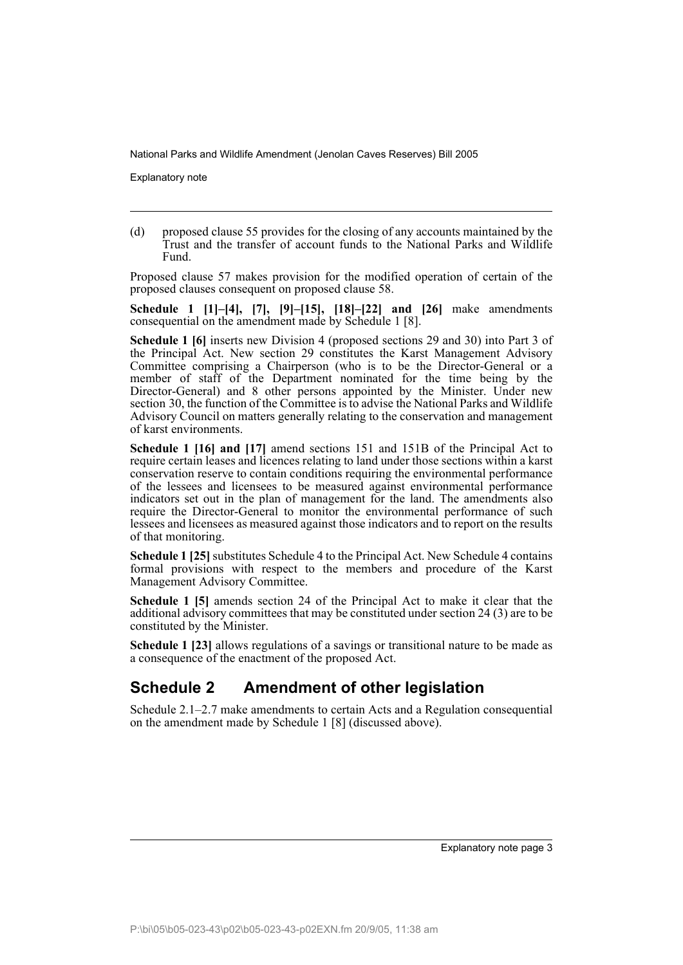Explanatory note

(d) proposed clause 55 provides for the closing of any accounts maintained by the Trust and the transfer of account funds to the National Parks and Wildlife Fund.

Proposed clause 57 makes provision for the modified operation of certain of the proposed clauses consequent on proposed clause 58.

**Schedule 1 [1]–[4], [7], [9]–[15], [18]–[22] and [26]** make amendments consequential on the amendment made by Schedule 1 [8].

**Schedule 1 [6]** inserts new Division 4 (proposed sections 29 and 30) into Part 3 of the Principal Act. New section 29 constitutes the Karst Management Advisory Committee comprising a Chairperson (who is to be the Director-General or a member of staff of the Department nominated for the time being by the Director-General) and 8 other persons appointed by the Minister. Under new section 30, the function of the Committee is to advise the National Parks and Wildlife Advisory Council on matters generally relating to the conservation and management of karst environments.

**Schedule 1 [16] and [17]** amend sections 151 and 151B of the Principal Act to require certain leases and licences relating to land under those sections within a karst conservation reserve to contain conditions requiring the environmental performance of the lessees and licensees to be measured against environmental performance indicators set out in the plan of management for the land. The amendments also require the Director-General to monitor the environmental performance of such lessees and licensees as measured against those indicators and to report on the results of that monitoring.

**Schedule 1 [25]** substitutes Schedule 4 to the Principal Act. New Schedule 4 contains formal provisions with respect to the members and procedure of the Karst Management Advisory Committee.

**Schedule 1 [5]** amends section 24 of the Principal Act to make it clear that the additional advisory committees that may be constituted under section 24 (3) are to be constituted by the Minister.

**Schedule 1 [23]** allows regulations of a savings or transitional nature to be made as a consequence of the enactment of the proposed Act.

## **Schedule 2 Amendment of other legislation**

Schedule 2.1–2.7 make amendments to certain Acts and a Regulation consequential on the amendment made by Schedule 1 [8] (discussed above).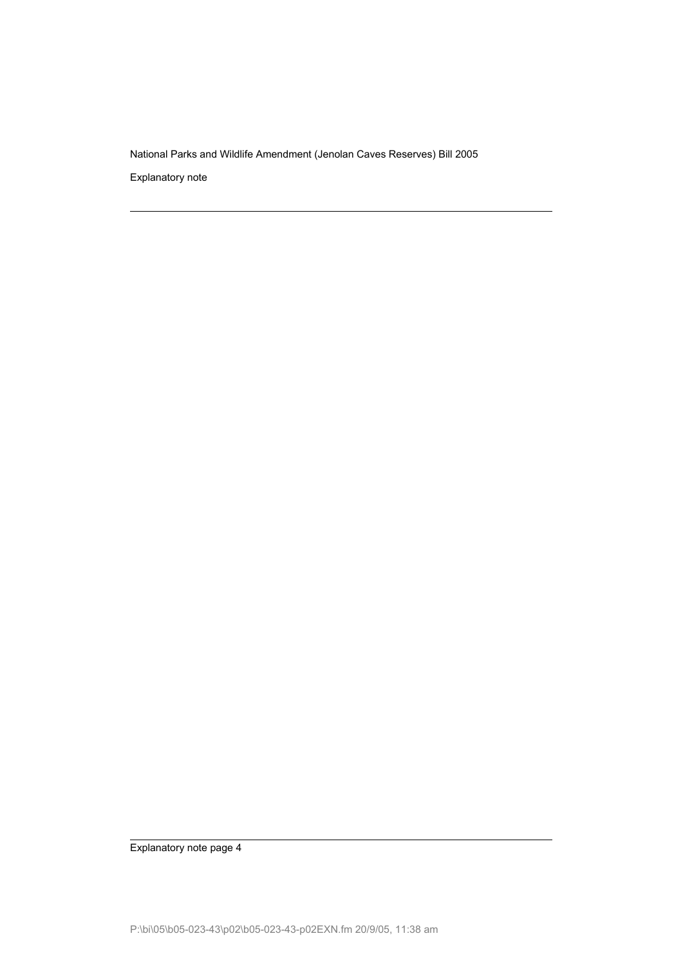Explanatory note

Explanatory note page 4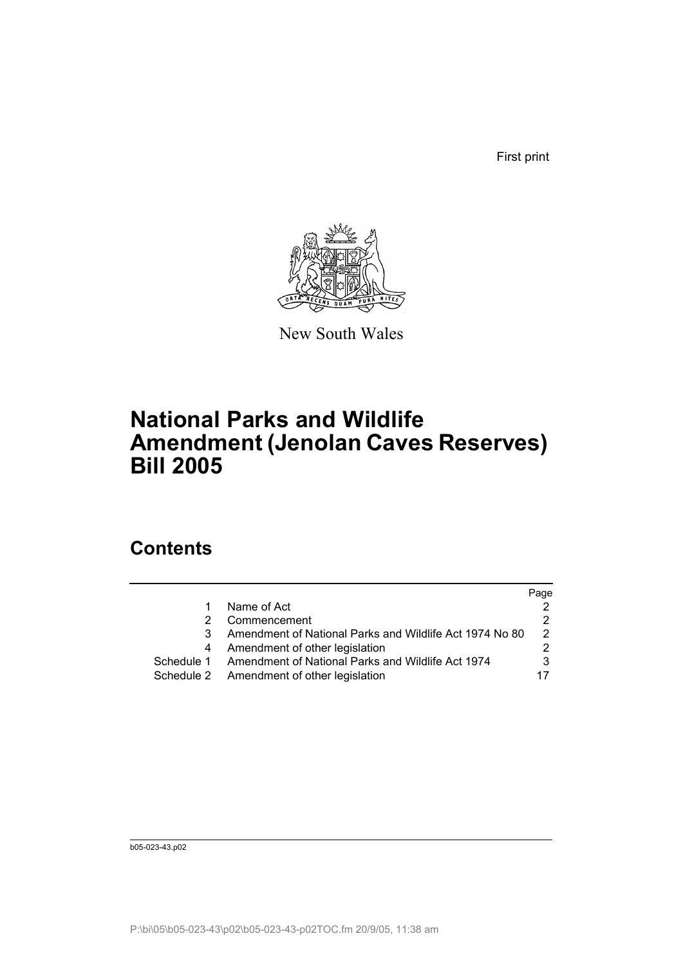First print



New South Wales

# **National Parks and Wildlife Amendment (Jenolan Caves Reserves) Bill 2005**

# **Contents**

|            |                                                         | Page |
|------------|---------------------------------------------------------|------|
|            | Name of Act                                             |      |
|            | Commencement                                            |      |
|            | Amendment of National Parks and Wildlife Act 1974 No 80 | 2    |
| 4          | Amendment of other legislation                          |      |
| Schedule 1 | Amendment of National Parks and Wildlife Act 1974       | 3    |
|            | Schedule 2 Amendment of other legislation               | 17   |
|            |                                                         |      |

b05-023-43.p02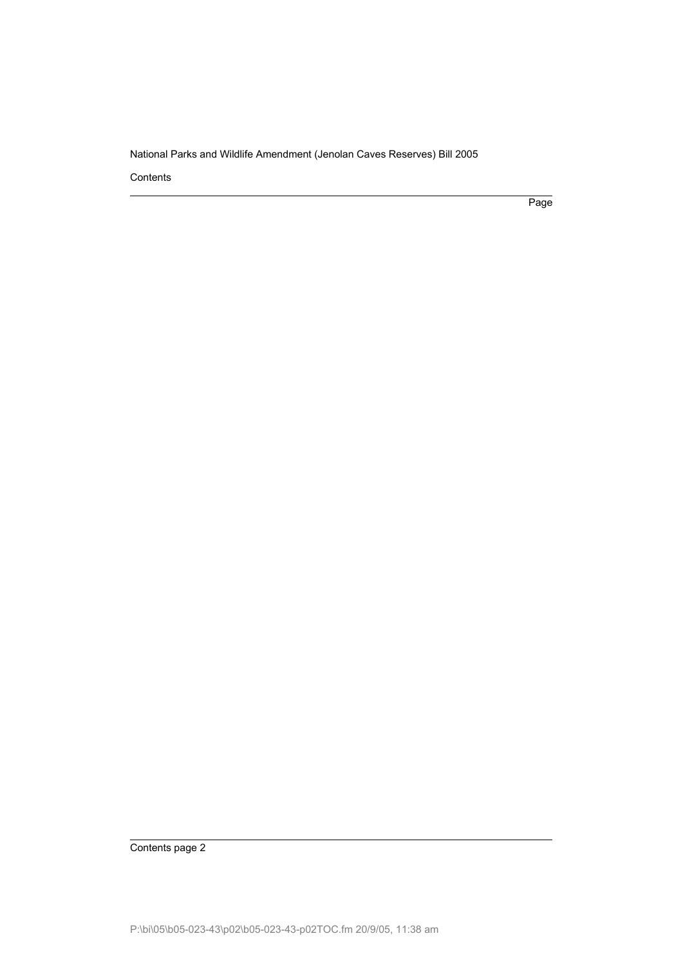Contents

Page

Contents page 2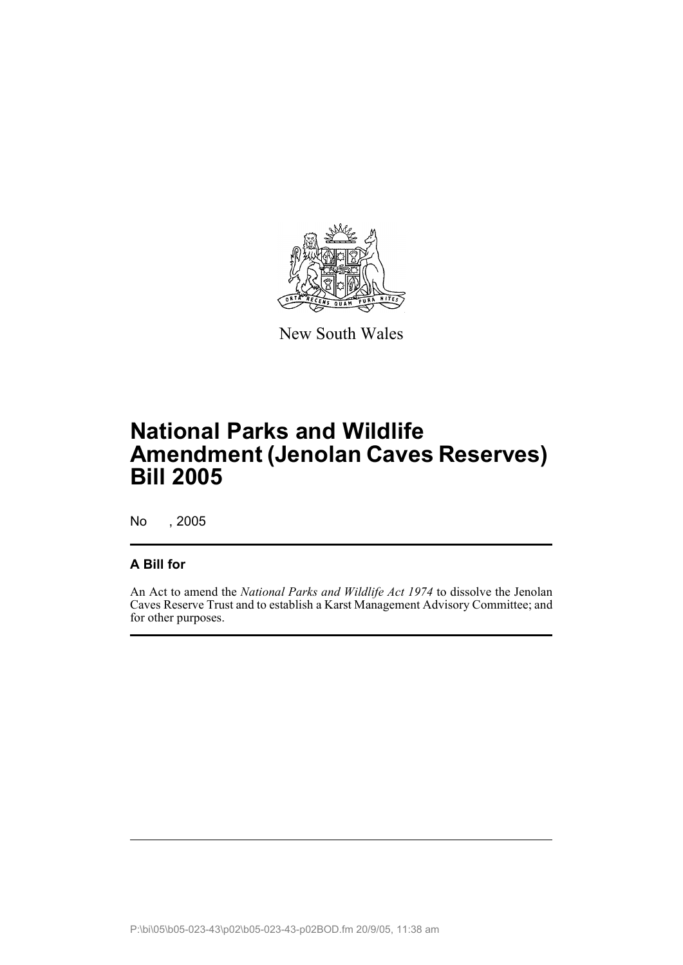

New South Wales

# **National Parks and Wildlife Amendment (Jenolan Caves Reserves) Bill 2005**

No , 2005

## **A Bill for**

An Act to amend the *National Parks and Wildlife Act 1974* to dissolve the Jenolan Caves Reserve Trust and to establish a Karst Management Advisory Committee; and for other purposes.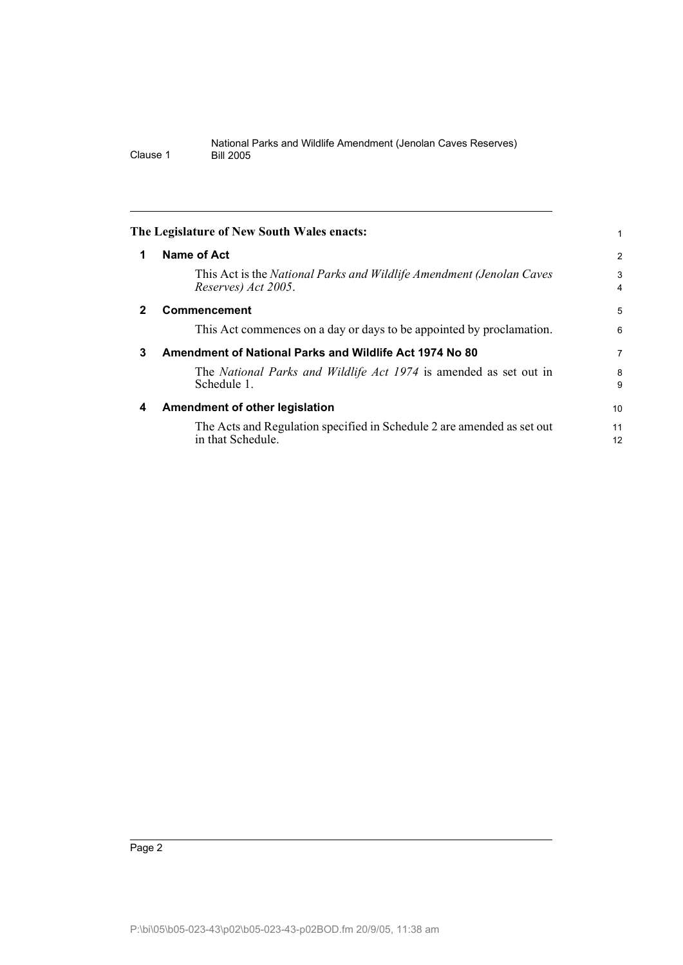|              | The Legislature of New South Wales enacts:                                                  | 1              |
|--------------|---------------------------------------------------------------------------------------------|----------------|
| 1            | Name of Act                                                                                 | $\overline{2}$ |
|              | This Act is the National Parks and Wildlife Amendment (Jenolan Caves<br>Reserves) Act 2005. | 3<br>4         |
| $\mathbf{2}$ | Commencement                                                                                | 5              |
|              | This Act commences on a day or days to be appointed by proclamation.                        | 6              |
| 3            | Amendment of National Parks and Wildlife Act 1974 No 80                                     | $\overline{7}$ |
|              | The National Parks and Wildlife Act 1974 is amended as set out in<br>Schedule 1.            | 8<br>9         |
| 4            | <b>Amendment of other legislation</b>                                                       | 10             |
|              | The Acts and Regulation specified in Schedule 2 are amended as set out<br>in that Schedule. | 11<br>12       |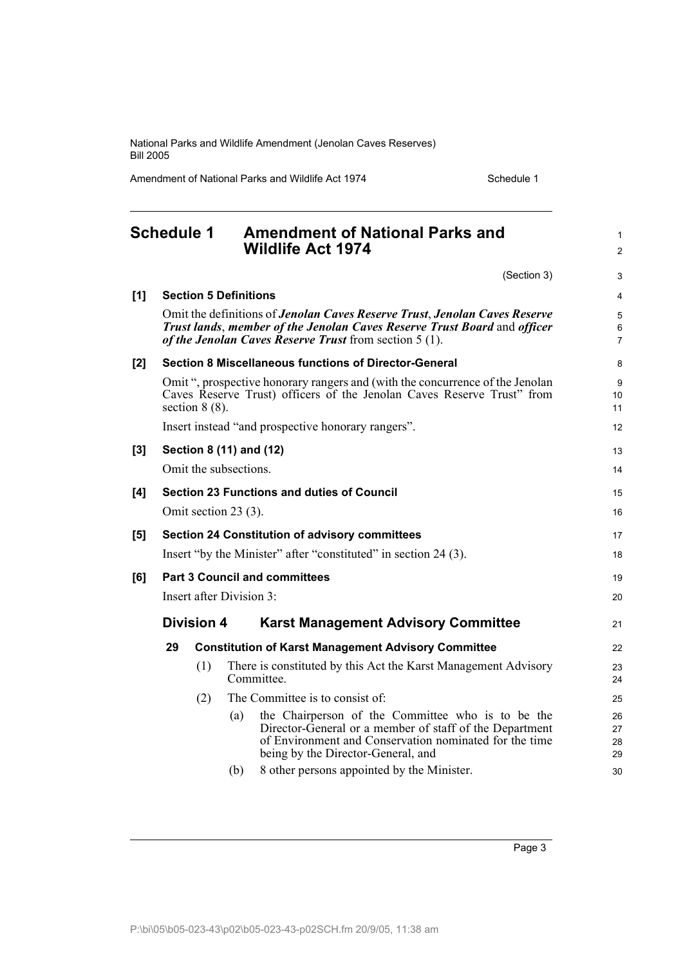Amendment of National Parks and Wildlife Act 1974 Schedule 1

|       | <b>Schedule 1</b> |                   |                              | <b>Amendment of National Parks and</b><br><b>Wildlife Act 1974</b>                                                                                                                                               | $\mathbf{1}$<br>2        |
|-------|-------------------|-------------------|------------------------------|------------------------------------------------------------------------------------------------------------------------------------------------------------------------------------------------------------------|--------------------------|
|       |                   |                   |                              | (Section 3)                                                                                                                                                                                                      | 3                        |
| [1]   |                   |                   | <b>Section 5 Definitions</b> |                                                                                                                                                                                                                  | $\overline{4}$           |
|       |                   |                   |                              | Omit the definitions of Jenolan Caves Reserve Trust, Jenolan Caves Reserve<br>Trust lands, member of the Jenolan Caves Reserve Trust Board and officer<br>of the Jenolan Caves Reserve Trust from section 5 (1). | 5<br>6<br>$\overline{7}$ |
| $[2]$ |                   |                   |                              | <b>Section 8 Miscellaneous functions of Director-General</b>                                                                                                                                                     | 8                        |
|       |                   | section $8(8)$ .  |                              | Omit ", prospective honorary rangers and (with the concurrence of the Jenolan<br>Caves Reserve Trust) officers of the Jenolan Caves Reserve Trust" from                                                          | 9<br>10<br>11            |
|       |                   |                   |                              | Insert instead "and prospective honorary rangers".                                                                                                                                                               | 12                       |
| $[3]$ |                   |                   |                              | Section 8 (11) and (12)                                                                                                                                                                                          | 13                       |
|       |                   |                   | Omit the subsections.        |                                                                                                                                                                                                                  | 14                       |
| [4]   |                   |                   |                              | <b>Section 23 Functions and duties of Council</b>                                                                                                                                                                | 15                       |
|       |                   |                   | Omit section 23 $(3)$ .      |                                                                                                                                                                                                                  | 16                       |
| [5]   |                   |                   |                              | <b>Section 24 Constitution of advisory committees</b>                                                                                                                                                            | 17                       |
|       |                   |                   |                              | Insert "by the Minister" after "constituted" in section 24 (3).                                                                                                                                                  | 18                       |
| [6]   |                   |                   |                              | <b>Part 3 Council and committees</b>                                                                                                                                                                             | 19                       |
|       |                   |                   | Insert after Division 3:     |                                                                                                                                                                                                                  | 20                       |
|       |                   | <b>Division 4</b> |                              | <b>Karst Management Advisory Committee</b>                                                                                                                                                                       | 21                       |
|       | 29                |                   |                              | <b>Constitution of Karst Management Advisory Committee</b>                                                                                                                                                       | 22                       |
|       |                   | (1)               |                              | There is constituted by this Act the Karst Management Advisory<br>Committee.                                                                                                                                     | 23<br>24                 |
|       |                   | (2)               |                              | The Committee is to consist of:                                                                                                                                                                                  | 25                       |
|       |                   |                   | (a)                          | the Chairperson of the Committee who is to be the<br>Director-General or a member of staff of the Department<br>of Environment and Conservation nominated for the time<br>being by the Director-General, and     | 26<br>27<br>28<br>29     |
|       |                   |                   | (b)                          | 8 other persons appointed by the Minister.                                                                                                                                                                       | 30                       |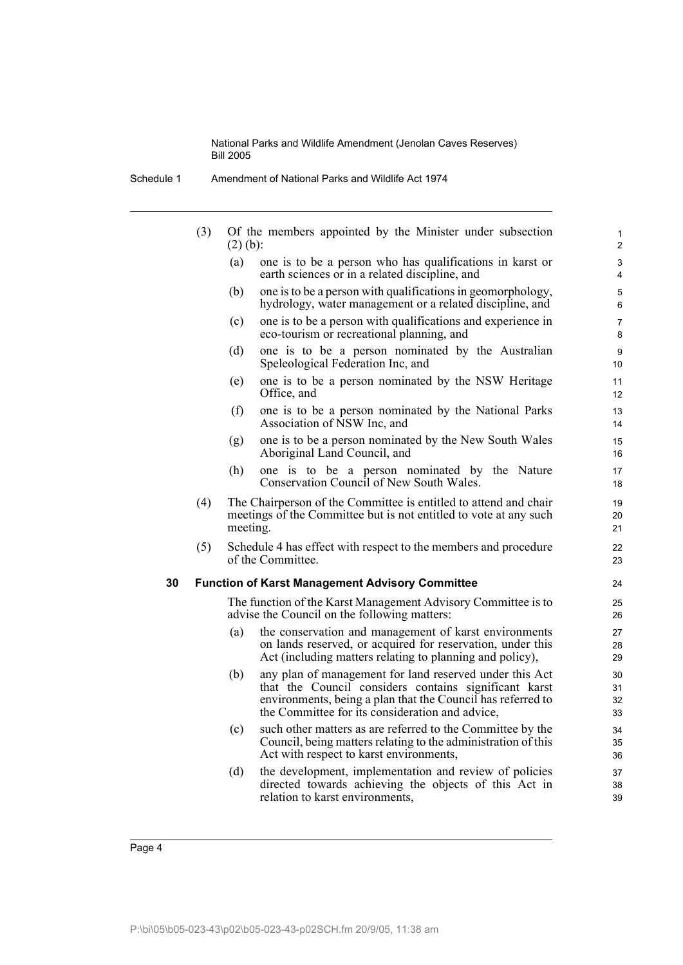- Schedule 1 Amendment of National Parks and Wildlife Act 1974
	- (3) Of the members appointed by the Minister under subsection (2) (b):
		- (a) one is to be a person who has qualifications in karst or earth sciences or in a related discipline, and

- (b) one is to be a person with qualifications in geomorphology, hydrology, water management or a related discipline, and
- (c) one is to be a person with qualifications and experience in eco-tourism or recreational planning, and
- (d) one is to be a person nominated by the Australian Speleological Federation Inc, and
- (e) one is to be a person nominated by the NSW Heritage Office, and
- (f) one is to be a person nominated by the National Parks Association of NSW Inc, and
- (g) one is to be a person nominated by the New South Wales Aboriginal Land Council, and
- (h) one is to be a person nominated by the Nature Conservation Council of New South Wales.
- (4) The Chairperson of the Committee is entitled to attend and chair meetings of the Committee but is not entitled to vote at any such meeting.
- (5) Schedule 4 has effect with respect to the members and procedure of the Committee.

## **30 Function of Karst Management Advisory Committee**

The function of the Karst Management Advisory Committee is to advise the Council on the following matters:

- (a) the conservation and management of karst environments on lands reserved, or acquired for reservation, under this Act (including matters relating to planning and policy),
- (b) any plan of management for land reserved under this Act that the Council considers contains significant karst environments, being a plan that the Council has referred to the Committee for its consideration and advice,
- (c) such other matters as are referred to the Committee by the Council, being matters relating to the administration of this Act with respect to karst environments,
- (d) the development, implementation and review of policies directed towards achieving the objects of this Act in relation to karst environments,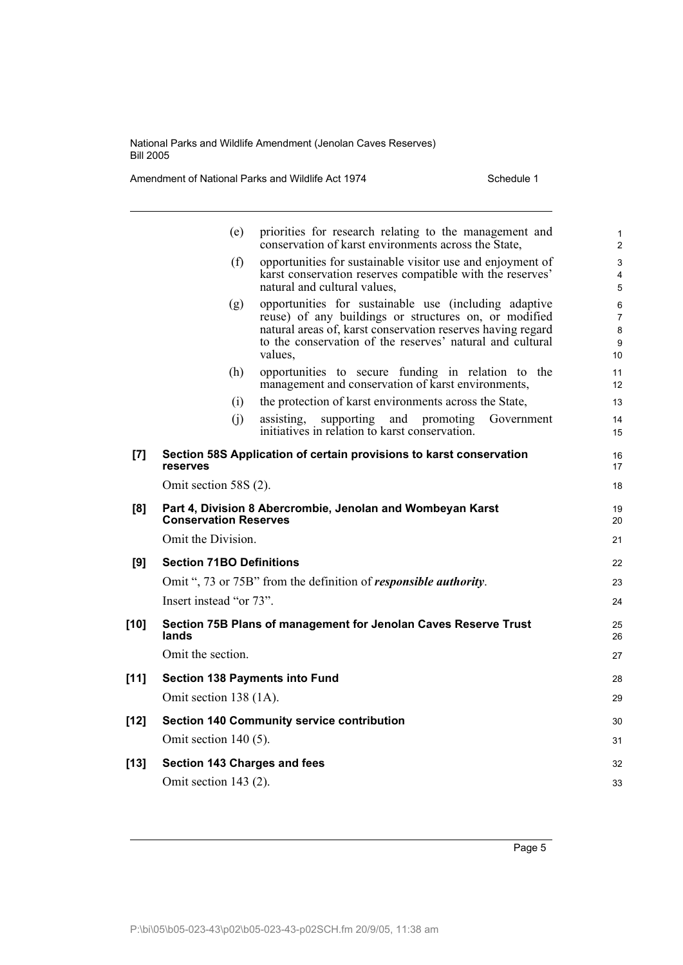Amendment of National Parks and Wildlife Act 1974 Schedule 1

|        | (e)                                   | priorities for research relating to the management and<br>conservation of karst environments across the State,                                                                                                                                        | 1<br>$\overline{c}$                 |
|--------|---------------------------------------|-------------------------------------------------------------------------------------------------------------------------------------------------------------------------------------------------------------------------------------------------------|-------------------------------------|
|        | (f)                                   | opportunities for sustainable visitor use and enjoyment of<br>karst conservation reserves compatible with the reserves'<br>natural and cultural values,                                                                                               | 3<br>4<br>5                         |
|        | (g)                                   | opportunities for sustainable use (including adaptive<br>reuse) of any buildings or structures on, or modified<br>natural areas of, karst conservation reserves having regard<br>to the conservation of the reserves' natural and cultural<br>values, | 6<br>$\overline{7}$<br>8<br>9<br>10 |
|        | (h)                                   | opportunities to secure funding in relation to the<br>management and conservation of karst environments,                                                                                                                                              | 11<br>12                            |
|        | (i)                                   | the protection of karst environments across the State,                                                                                                                                                                                                | 13                                  |
|        | (i)                                   | and<br>promoting<br>assisting.<br>supporting<br>Government<br>initiatives in relation to karst conservation.                                                                                                                                          | 14<br>15                            |
| [7]    | reserves                              | Section 58S Application of certain provisions to karst conservation                                                                                                                                                                                   | 16<br>17                            |
|        | Omit section 58S (2).                 |                                                                                                                                                                                                                                                       | 18                                  |
| [8]    | <b>Conservation Reserves</b>          | Part 4, Division 8 Abercrombie, Jenolan and Wombeyan Karst                                                                                                                                                                                            | 19<br>20                            |
|        | Omit the Division.                    |                                                                                                                                                                                                                                                       | 21                                  |
| [9]    | <b>Section 71BO Definitions</b>       |                                                                                                                                                                                                                                                       | 22                                  |
|        |                                       | Omit ", 73 or 75B" from the definition of <i>responsible authority</i> .                                                                                                                                                                              | 23                                  |
|        | Insert instead "or 73".               |                                                                                                                                                                                                                                                       | 24                                  |
| $[10]$ | lands                                 | Section 75B Plans of management for Jenolan Caves Reserve Trust                                                                                                                                                                                       | 25<br>26                            |
|        | Omit the section.                     |                                                                                                                                                                                                                                                       | 27                                  |
| $[11]$ | <b>Section 138 Payments into Fund</b> |                                                                                                                                                                                                                                                       | 28                                  |
|        | Omit section 138 (1A).                |                                                                                                                                                                                                                                                       | 29                                  |
| $[12]$ |                                       | <b>Section 140 Community service contribution</b>                                                                                                                                                                                                     | 30                                  |
|        | Omit section 140 (5).                 |                                                                                                                                                                                                                                                       | 31                                  |
| $[13]$ | Section 143 Charges and fees          |                                                                                                                                                                                                                                                       | 32                                  |
|        | Omit section $143$ (2).               |                                                                                                                                                                                                                                                       | 33                                  |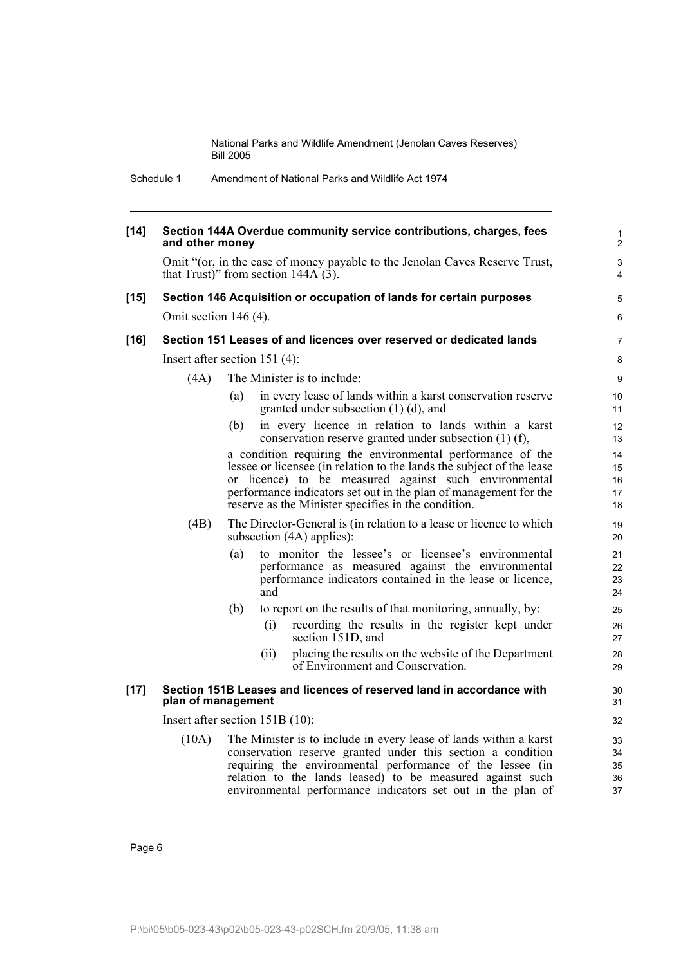| $[14]$ | and other money       | Section 144A Overdue community service contributions, charges, fees                                                                                                                                                                                                                                                     |
|--------|-----------------------|-------------------------------------------------------------------------------------------------------------------------------------------------------------------------------------------------------------------------------------------------------------------------------------------------------------------------|
|        |                       | Omit "(or, in the case of money payable to the Jenolan Caves Reserve Trust,<br>that Trust)" from section $144A(3)$ .                                                                                                                                                                                                    |
| $[15]$ |                       | Section 146 Acquisition or occupation of lands for certain purposes                                                                                                                                                                                                                                                     |
|        | Omit section 146 (4). |                                                                                                                                                                                                                                                                                                                         |
| $[16]$ |                       | Section 151 Leases of and licences over reserved or dedicated lands                                                                                                                                                                                                                                                     |
|        |                       | Insert after section $151(4)$ :                                                                                                                                                                                                                                                                                         |
|        | (4A)                  | The Minister is to include:                                                                                                                                                                                                                                                                                             |
|        |                       | in every lease of lands within a karst conservation reserve<br>(a)<br>granted under subsection $(1)$ $(d)$ , and                                                                                                                                                                                                        |
|        |                       | (b)<br>in every licence in relation to lands within a karst<br>conservation reserve granted under subsection $(1)$ $(f)$ ,                                                                                                                                                                                              |
|        |                       | a condition requiring the environmental performance of the<br>lessee or licensee (in relation to the lands the subject of the lease<br>or licence) to be measured against such environmental<br>performance indicators set out in the plan of management for the<br>reserve as the Minister specifies in the condition. |
|        | (4B)                  | The Director-General is (in relation to a lease or licence to which<br>subsection (4A) applies):                                                                                                                                                                                                                        |
|        |                       | to monitor the lessee's or licensee's environmental<br>(a)<br>performance as measured against the environmental<br>performance indicators contained in the lease or licence,<br>and                                                                                                                                     |
|        |                       | (b)<br>to report on the results of that monitoring, annually, by:                                                                                                                                                                                                                                                       |
|        |                       | recording the results in the register kept under<br>(i)<br>section 151D, and                                                                                                                                                                                                                                            |
|        |                       | placing the results on the website of the Department<br>(ii)<br>of Environment and Conservation.                                                                                                                                                                                                                        |
| $[17]$ | plan of management    | Section 151B Leases and licences of reserved land in accordance with                                                                                                                                                                                                                                                    |
|        |                       | Insert after section $151B(10)$ :                                                                                                                                                                                                                                                                                       |
|        | (10A)                 | The Minister is to include in every lease of lands within a karst<br>conservation reserve granted under this section a condition                                                                                                                                                                                        |

requiring the environmental performance of the lessee (in relation to the lands leased) to be measured against such environmental performance indicators set out in the plan of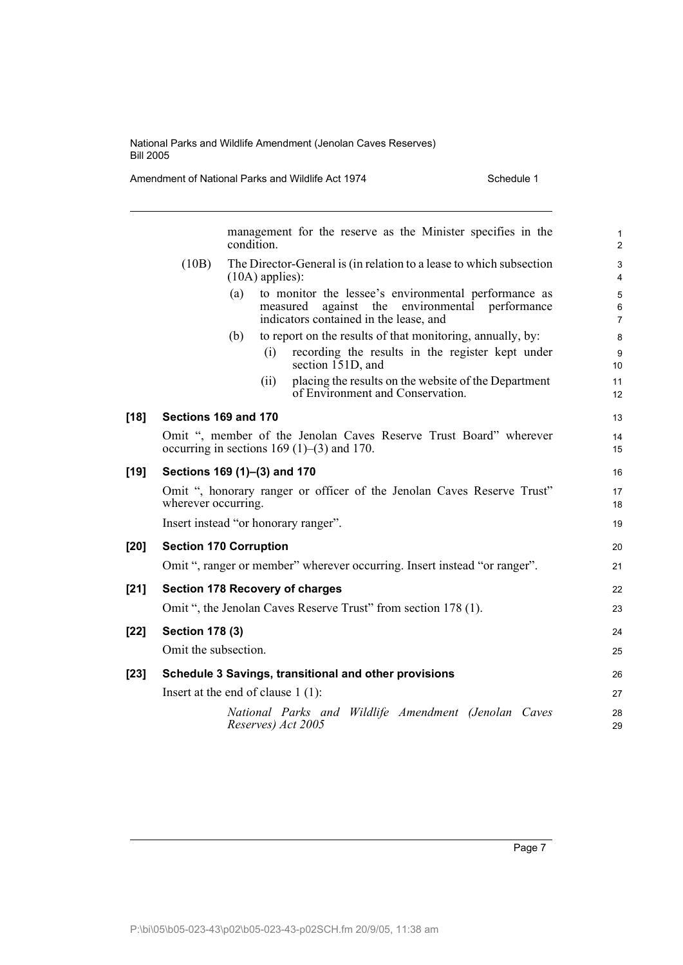|        |                        | management for the reserve as the Minister specifies in the<br>condition.                                                                                  | $\mathbf{1}$<br>$\overline{2}$ |
|--------|------------------------|------------------------------------------------------------------------------------------------------------------------------------------------------------|--------------------------------|
|        | (10B)                  | The Director-General is (in relation to a lease to which subsection<br>$(10A)$ applies):                                                                   | 3<br>4                         |
|        |                        | (a)<br>to monitor the lessee's environmental performance as<br>against the environmental performance<br>measured<br>indicators contained in the lease, and | 5<br>6<br>$\overline{7}$       |
|        |                        | to report on the results of that monitoring, annually, by:<br>(b)                                                                                          | 8                              |
|        |                        | recording the results in the register kept under<br>(i)<br>section 151D, and                                                                               | 9<br>10 <sup>1</sup>           |
|        |                        | placing the results on the website of the Department<br>(ii)<br>of Environment and Conservation.                                                           | 11<br>12                       |
| $[18]$ |                        | Sections 169 and 170                                                                                                                                       | 13                             |
|        |                        | Omit ", member of the Jenolan Caves Reserve Trust Board" wherever<br>occurring in sections 169 $(1)$ – $(3)$ and 170.                                      | 14<br>15                       |
| $[19]$ |                        | Sections 169 (1)-(3) and 170                                                                                                                               | 16                             |
|        | wherever occurring.    | Omit ", honorary ranger or officer of the Jenolan Caves Reserve Trust"                                                                                     | 17<br>18                       |
|        |                        | Insert instead "or honorary ranger".                                                                                                                       | 19                             |
| $[20]$ |                        | <b>Section 170 Corruption</b>                                                                                                                              | 20                             |
|        |                        | Omit ", ranger or member" wherever occurring. Insert instead "or ranger".                                                                                  | 21                             |
| $[21]$ |                        | <b>Section 178 Recovery of charges</b>                                                                                                                     | 22                             |
|        |                        | Omit ", the Jenolan Caves Reserve Trust" from section 178 (1).                                                                                             | 23                             |
| $[22]$ | <b>Section 178 (3)</b> |                                                                                                                                                            | 24                             |
|        | Omit the subsection.   |                                                                                                                                                            | 25                             |
| $[23]$ |                        | Schedule 3 Savings, transitional and other provisions                                                                                                      | 26                             |
|        |                        | Insert at the end of clause $1(1)$ :                                                                                                                       | 27                             |
|        |                        | National Parks and Wildlife Amendment (Jenolan Caves<br>Reserves) Act 2005                                                                                 | 28<br>29                       |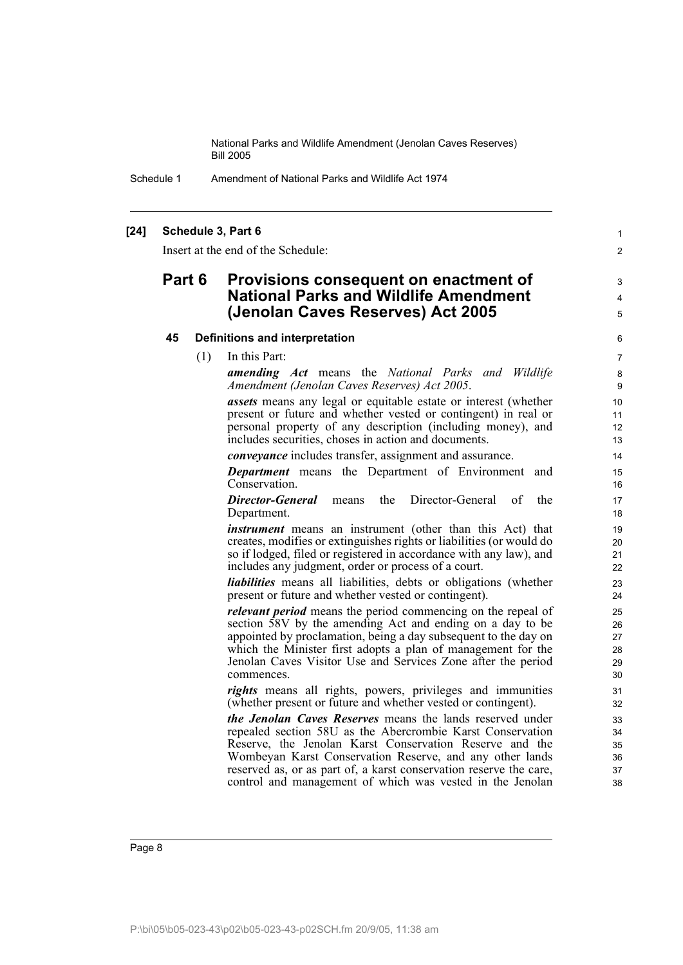Schedule 1 Amendment of National Parks and Wildlife Act 1974

## **[24] Schedule 3, Part 6**

Insert at the end of the Schedule:

## **Part 6 Provisions consequent on enactment of National Parks and Wildlife Amendment (Jenolan Caves Reserves) Act 2005**

#### **45 Definitions and interpretation**

(1) In this Part:

*amending Act* means the *National Parks and Wildlife Amendment (Jenolan Caves Reserves) Act 2005*.

1  $\mathfrak{p}$ 

3 4 5

*assets* means any legal or equitable estate or interest (whether present or future and whether vested or contingent) in real or personal property of any description (including money), and includes securities, choses in action and documents.

*conveyance* includes transfer, assignment and assurance.

*Department* means the Department of Environment and Conservation.

*Director-General* means the Director-General of the Department.

*instrument* means an instrument (other than this Act) that creates, modifies or extinguishes rights or liabilities (or would do so if lodged, filed or registered in accordance with any law), and includes any judgment, order or process of a court.

*liabilities* means all liabilities, debts or obligations (whether present or future and whether vested or contingent).

*relevant period* means the period commencing on the repeal of section 58V by the amending Act and ending on a day to be appointed by proclamation, being a day subsequent to the day on which the Minister first adopts a plan of management for the Jenolan Caves Visitor Use and Services Zone after the period commences.

*rights* means all rights, powers, privileges and immunities (whether present or future and whether vested or contingent).

*the Jenolan Caves Reserves* means the lands reserved under repealed section 58U as the Abercrombie Karst Conservation Reserve, the Jenolan Karst Conservation Reserve and the Wombeyan Karst Conservation Reserve, and any other lands reserved as, or as part of, a karst conservation reserve the care, control and management of which was vested in the Jenolan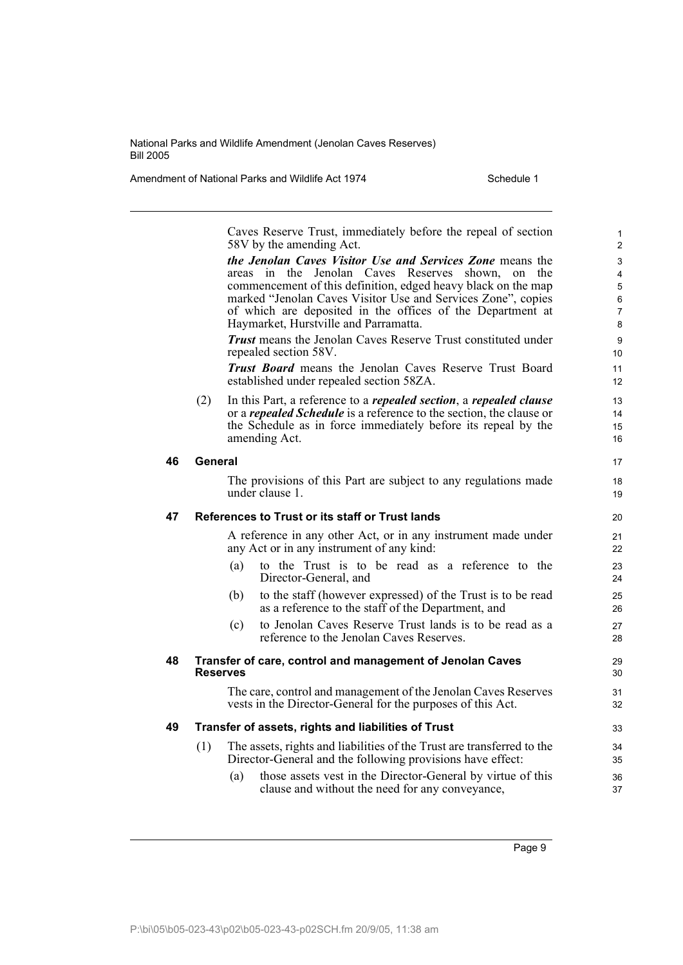Amendment of National Parks and Wildlife Act 1974 Schedule 1

Caves Reserve Trust, immediately before the repeal of section 58V by the amending Act.

*the Jenolan Caves Visitor Use and Services Zone* means the areas in the Jenolan Caves Reserves shown, on the commencement of this definition, edged heavy black on the map marked "Jenolan Caves Visitor Use and Services Zone", copies of which are deposited in the offices of the Department at Haymarket, Hurstville and Parramatta.

*Trust* means the Jenolan Caves Reserve Trust constituted under repealed section 58V.

*Trust Board* means the Jenolan Caves Reserve Trust Board established under repealed section 58ZA.

(2) In this Part, a reference to a *repealed section*, a *repealed clause* or a *repealed Schedule* is a reference to the section, the clause or the Schedule as in force immediately before its repeal by the amending Act.

### **46 General**

The provisions of this Part are subject to any regulations made under clause 1.

#### **47 References to Trust or its staff or Trust lands**

A reference in any other Act, or in any instrument made under any Act or in any instrument of any kind:

- (a) to the Trust is to be read as a reference to the Director-General, and
- (b) to the staff (however expressed) of the Trust is to be read as a reference to the staff of the Department, and
- (c) to Jenolan Caves Reserve Trust lands is to be read as a reference to the Jenolan Caves Reserves.

## **48 Transfer of care, control and management of Jenolan Caves Reserves**

The care, control and management of the Jenolan Caves Reserves vests in the Director-General for the purposes of this Act.

## **49 Transfer of assets, rights and liabilities of Trust**

- (1) The assets, rights and liabilities of the Trust are transferred to the Director-General and the following provisions have effect:
	- (a) those assets vest in the Director-General by virtue of this clause and without the need for any conveyance,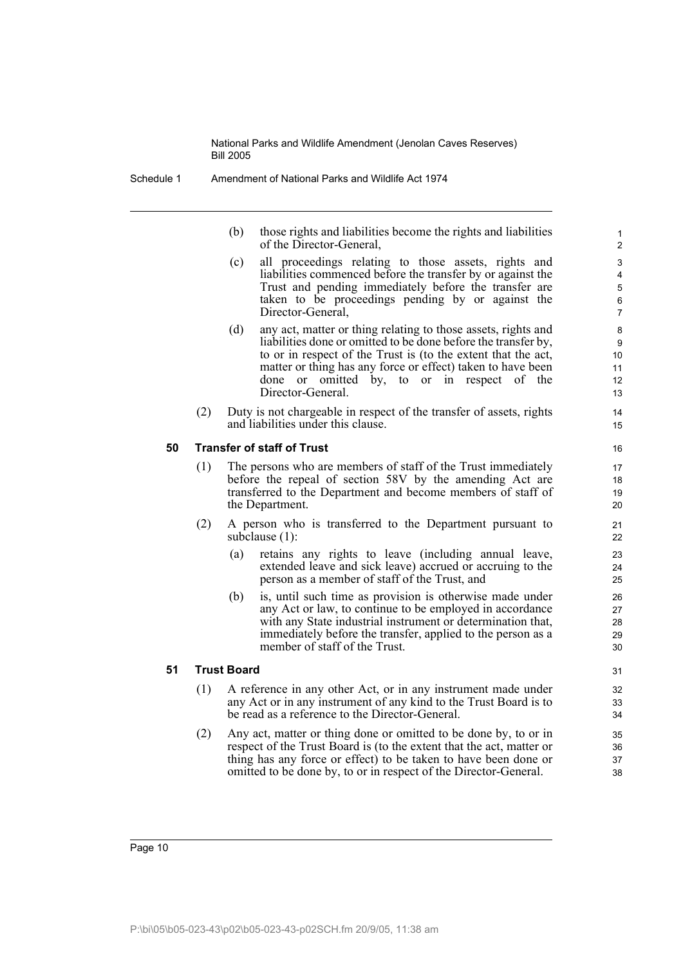(b) those rights and liabilities become the rights and liabilities of the Director-General,

- (c) all proceedings relating to those assets, rights and liabilities commenced before the transfer by or against the Trust and pending immediately before the transfer are taken to be proceedings pending by or against the Director-General,
- (d) any act, matter or thing relating to those assets, rights and liabilities done or omitted to be done before the transfer by, to or in respect of the Trust is (to the extent that the act, matter or thing has any force or effect) taken to have been done or omitted by, to or in respect of the Director-General.
- (2) Duty is not chargeable in respect of the transfer of assets, rights and liabilities under this clause.

## **50 Transfer of staff of Trust**

- (1) The persons who are members of staff of the Trust immediately before the repeal of section 58V by the amending Act are transferred to the Department and become members of staff of the Department.
- (2) A person who is transferred to the Department pursuant to subclause (1):
	- (a) retains any rights to leave (including annual leave, extended leave and sick leave) accrued or accruing to the person as a member of staff of the Trust, and
	- (b) is, until such time as provision is otherwise made under any Act or law, to continue to be employed in accordance with any State industrial instrument or determination that, immediately before the transfer, applied to the person as a member of staff of the Trust.

## **51 Trust Board**

- (1) A reference in any other Act, or in any instrument made under any Act or in any instrument of any kind to the Trust Board is to be read as a reference to the Director-General.
- (2) Any act, matter or thing done or omitted to be done by, to or in respect of the Trust Board is (to the extent that the act, matter or thing has any force or effect) to be taken to have been done or omitted to be done by, to or in respect of the Director-General.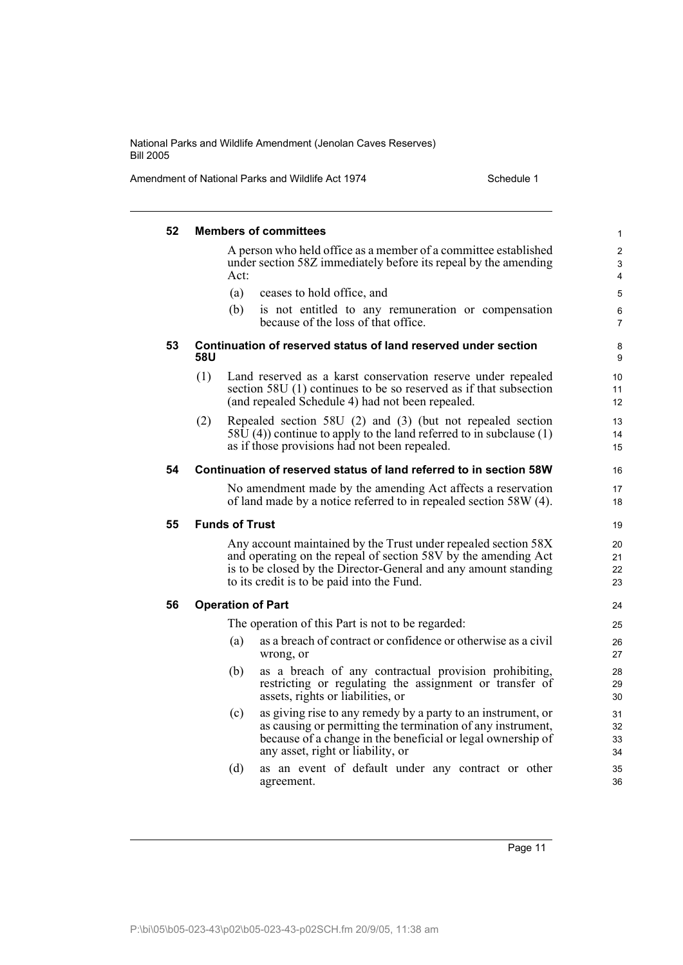Amendment of National Parks and Wildlife Act 1974 Schedule 1

|    |                          | <b>Members of committees</b>                                                                                                      |  |
|----|--------------------------|-----------------------------------------------------------------------------------------------------------------------------------|--|
|    |                          | A person who held office as a member of a committee established                                                                   |  |
|    | Act:                     | under section 58Z immediately before its repeal by the amending                                                                   |  |
|    | (a)                      | ceases to hold office, and                                                                                                        |  |
|    |                          |                                                                                                                                   |  |
|    | (b)                      | is not entitled to any remuneration or compensation<br>because of the loss of that office.                                        |  |
| 53 | 58U                      | Continuation of reserved status of land reserved under section                                                                    |  |
|    | (1)                      | Land reserved as a karst conservation reserve under repealed                                                                      |  |
|    |                          | section 58U (1) continues to be so reserved as if that subsection<br>(and repealed Schedule 4) had not been repealed.             |  |
|    | (2)                      | Repealed section $58U(2)$ and $(3)$ (but not repealed section                                                                     |  |
|    |                          | $58U(4)$ ) continue to apply to the land referred to in subclause (1)                                                             |  |
|    |                          | as if those provisions had not been repealed.                                                                                     |  |
| 54 |                          | Continuation of reserved status of land referred to in section 58W                                                                |  |
|    |                          | No amendment made by the amending Act affects a reservation                                                                       |  |
|    |                          | of land made by a notice referred to in repealed section 58W (4).                                                                 |  |
| 55 | <b>Funds of Trust</b>    |                                                                                                                                   |  |
|    |                          | Any account maintained by the Trust under repealed section 58X                                                                    |  |
|    |                          | and operating on the repeal of section 58V by the amending Act<br>is to be closed by the Director-General and any amount standing |  |
|    |                          | to its credit is to be paid into the Fund.                                                                                        |  |
| 56 | <b>Operation of Part</b> |                                                                                                                                   |  |
|    |                          | The operation of this Part is not to be regarded:                                                                                 |  |
|    |                          |                                                                                                                                   |  |
|    | (a)                      | as a breach of contract or confidence or otherwise as a civil<br>wrong, or                                                        |  |
|    | (b)                      | as a breach of any contractual provision prohibiting,                                                                             |  |
|    |                          | restricting or regulating the assignment or transfer of                                                                           |  |
|    |                          | assets, rights or liabilities, or                                                                                                 |  |
|    | (c)                      | as giving rise to any remedy by a party to an instrument, or                                                                      |  |
|    |                          | as causing or permitting the termination of any instrument,                                                                       |  |
|    |                          | because of a change in the beneficial or legal ownership of<br>any asset, right or liability, or                                  |  |
|    | (d)                      | as an event of default under any contract or other                                                                                |  |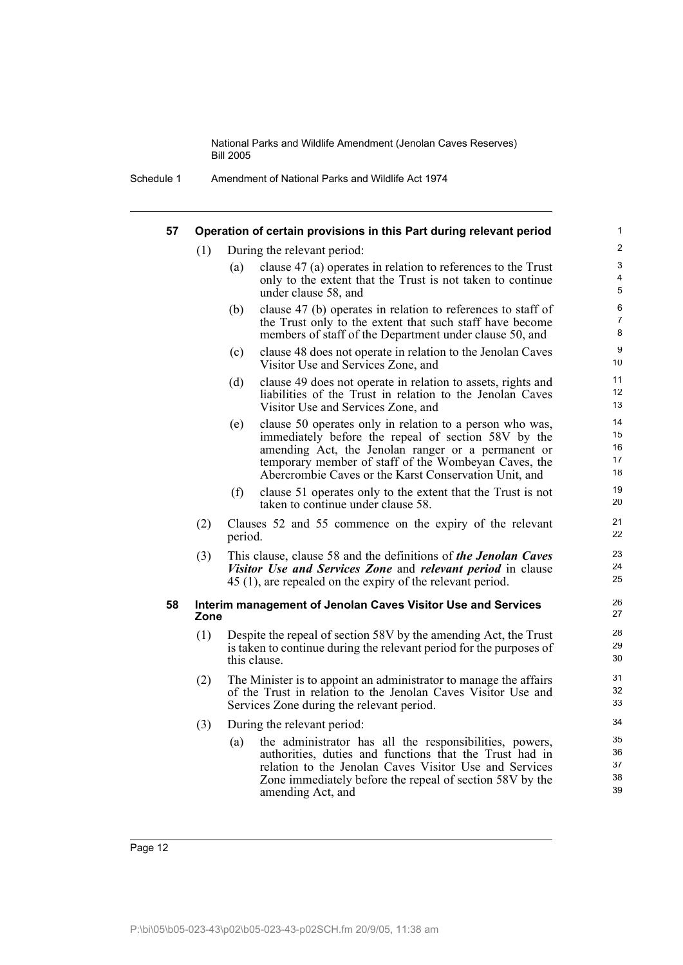Schedule 1 Amendment of National Parks and Wildlife Act 1974

## **57 Operation of certain provisions in this Part during relevant period**

(1) During the relevant period:

| (a) | clause 47 (a) operates in relation to references to the Trust<br>only to the extent that the Trust is not taken to continue<br>under clause 58, and |
|-----|-----------------------------------------------------------------------------------------------------------------------------------------------------|
| (b) | clause 47 (b) operates in relation to references to staff of<br>the Trust only to the extent that such staff have become                            |

- members of staff of the Department under clause 50, and (c) clause 48 does not operate in relation to the Jenolan Caves Visitor Use and Services Zone, and
- (d) clause 49 does not operate in relation to assets, rights and liabilities of the Trust in relation to the Jenolan Caves Visitor Use and Services Zone, and
- (e) clause 50 operates only in relation to a person who was, immediately before the repeal of section 58V by the amending Act, the Jenolan ranger or a permanent or temporary member of staff of the Wombeyan Caves, the Abercrombie Caves or the Karst Conservation Unit, and
- (f) clause 51 operates only to the extent that the Trust is not taken to continue under clause 58.
- (2) Clauses 52 and 55 commence on the expiry of the relevant period.
- (3) This clause, clause 58 and the definitions of *the Jenolan Caves Visitor Use and Services Zone* and *relevant period* in clause 45 (1), are repealed on the expiry of the relevant period.

#### **58 Interim management of Jenolan Caves Visitor Use and Services Zone**

- (1) Despite the repeal of section 58V by the amending Act, the Trust is taken to continue during the relevant period for the purposes of this clause.
- (2) The Minister is to appoint an administrator to manage the affairs of the Trust in relation to the Jenolan Caves Visitor Use and Services Zone during the relevant period.
- (3) During the relevant period:
	- (a) the administrator has all the responsibilities, powers, authorities, duties and functions that the Trust had in relation to the Jenolan Caves Visitor Use and Services Zone immediately before the repeal of section 58V by the amending Act, and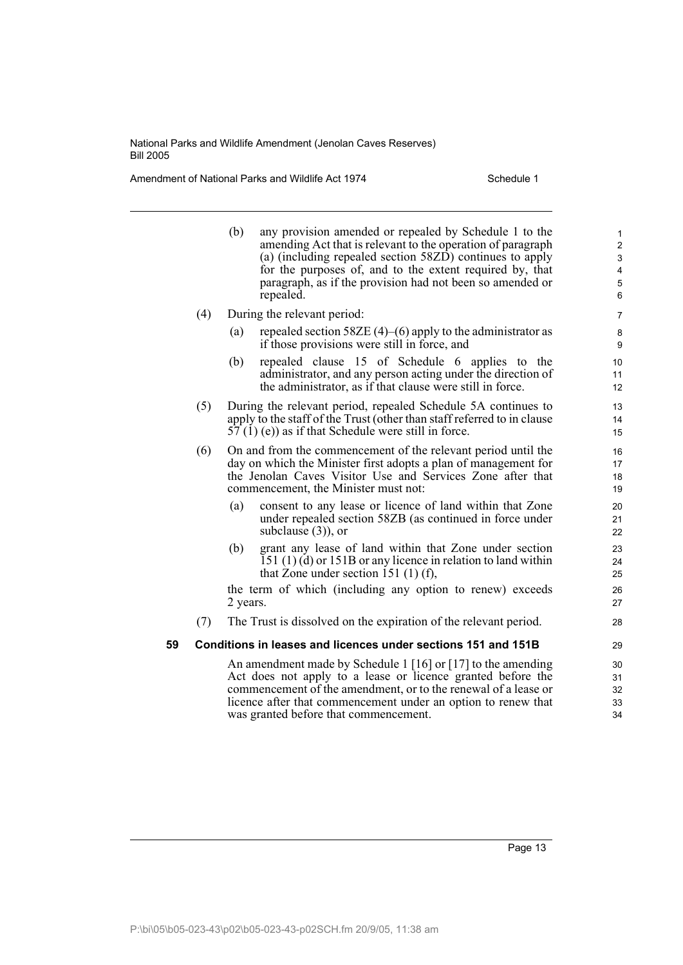Amendment of National Parks and Wildlife Act 1974 Schedule 1

|    |     | (b)      | any provision amended or repealed by Schedule 1 to the<br>amending Act that is relevant to the operation of paragraph<br>(a) (including repealed section 58ZD) continues to apply<br>for the purposes of, and to the extent required by, that<br>paragraph, as if the provision had not been so amended or<br>repealed. | $\mathbf{1}$<br>$\overline{c}$<br>3<br>4<br>5<br>6 |
|----|-----|----------|-------------------------------------------------------------------------------------------------------------------------------------------------------------------------------------------------------------------------------------------------------------------------------------------------------------------------|----------------------------------------------------|
|    | (4) |          | During the relevant period:                                                                                                                                                                                                                                                                                             | $\overline{7}$                                     |
|    |     | (a)      | repealed section 58ZE $(4)$ – $(6)$ apply to the administrator as<br>if those provisions were still in force, and                                                                                                                                                                                                       | 8<br>9                                             |
|    |     | (b)      | repealed clause 15 of Schedule 6 applies to the<br>administrator, and any person acting under the direction of<br>the administrator, as if that clause were still in force.                                                                                                                                             | 10<br>11<br>12                                     |
|    | (5) |          | During the relevant period, repealed Schedule 5A continues to<br>apply to the staff of the Trust (other than staff referred to in clause<br>$57(1)$ (e)) as if that Schedule were still in force.                                                                                                                       | 13<br>14<br>15                                     |
|    | (6) |          | On and from the commencement of the relevant period until the<br>day on which the Minister first adopts a plan of management for<br>the Jenolan Caves Visitor Use and Services Zone after that<br>commencement, the Minister must not:                                                                                  | 16<br>17<br>18<br>19                               |
|    |     | (a)      | consent to any lease or licence of land within that Zone<br>under repealed section 58ZB (as continued in force under<br>subclause $(3)$ , or                                                                                                                                                                            | 20<br>21<br>22                                     |
|    |     | (b)      | grant any lease of land within that Zone under section<br>151 $(1)(d)$ or 151B or any licence in relation to land within<br>that Zone under section 151 (1) (f),                                                                                                                                                        | 23<br>24<br>25                                     |
|    |     | 2 years. | the term of which (including any option to renew) exceeds                                                                                                                                                                                                                                                               | 26<br>27                                           |
|    | (7) |          | The Trust is dissolved on the expiration of the relevant period.                                                                                                                                                                                                                                                        | 28                                                 |
| 59 |     |          | Conditions in leases and licences under sections 151 and 151B                                                                                                                                                                                                                                                           | 29                                                 |
|    |     |          | An amendment made by Schedule 1 [16] or [17] to the amending<br>Act does not apply to a lease or licence granted before the<br>commencement of the amendment, or to the renewal of a lease or<br>licence after that commencement under an option to renew that<br>was granted before that commencement.                 | 30<br>31<br>32<br>33<br>34                         |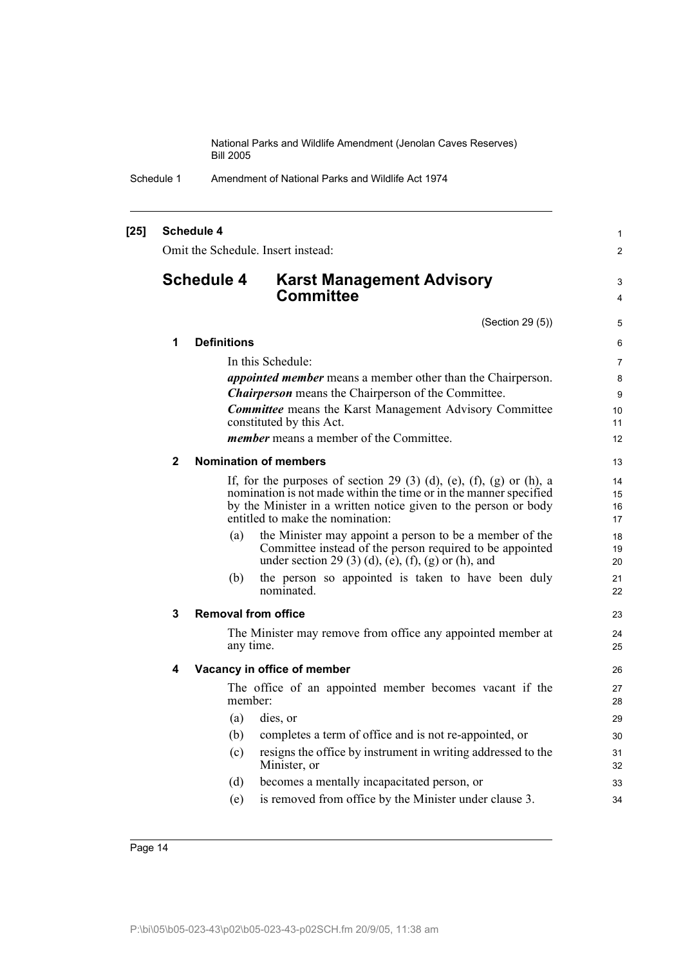Schedule 1 Amendment of National Parks and Wildlife Act 1974

| $[25]$ |              | <b>Schedule 4</b>          | Omit the Schedule. Insert instead:                                                                                                                                                                                                              | 1<br>2                                                                                                            |
|--------|--------------|----------------------------|-------------------------------------------------------------------------------------------------------------------------------------------------------------------------------------------------------------------------------------------------|-------------------------------------------------------------------------------------------------------------------|
|        |              | <b>Schedule 4</b>          | <b>Karst Management Advisory</b><br><b>Committee</b>                                                                                                                                                                                            | 3<br>4                                                                                                            |
|        |              |                            | (Section 29 (5))                                                                                                                                                                                                                                | 5                                                                                                                 |
|        | 1            | <b>Definitions</b>         |                                                                                                                                                                                                                                                 | 6                                                                                                                 |
|        |              |                            | In this Schedule:                                                                                                                                                                                                                               | 7<br>8<br>9<br>10<br>11<br>12<br>13<br>14<br>15<br>16<br>17<br>18<br>19<br>20<br>21<br>22<br>23<br>24<br>25<br>26 |
|        |              |                            | <i>appointed member</i> means a member other than the Chairperson.                                                                                                                                                                              |                                                                                                                   |
|        |              |                            | <b>Chairperson</b> means the Chairperson of the Committee.                                                                                                                                                                                      |                                                                                                                   |
|        |              |                            | <b>Committee</b> means the Karst Management Advisory Committee<br>constituted by this Act.                                                                                                                                                      |                                                                                                                   |
|        |              |                            | <i>member</i> means a member of the Committee.                                                                                                                                                                                                  |                                                                                                                   |
|        | $\mathbf{2}$ |                            | <b>Nomination of members</b>                                                                                                                                                                                                                    |                                                                                                                   |
|        |              |                            | If, for the purposes of section 29 (3) (d), (e), (f), (g) or (h), a<br>nomination is not made within the time or in the manner specified<br>by the Minister in a written notice given to the person or body<br>entitled to make the nomination: |                                                                                                                   |
|        |              | (a)                        | the Minister may appoint a person to be a member of the<br>Committee instead of the person required to be appointed<br>under section 29 (3) (d), (e), (f), (g) or (h), and                                                                      |                                                                                                                   |
|        |              | (b)                        | the person so appointed is taken to have been duly<br>nominated.                                                                                                                                                                                |                                                                                                                   |
|        | 3            | <b>Removal from office</b> |                                                                                                                                                                                                                                                 |                                                                                                                   |
|        |              | any time.                  | The Minister may remove from office any appointed member at                                                                                                                                                                                     |                                                                                                                   |
|        | 4            |                            | Vacancy in office of member                                                                                                                                                                                                                     |                                                                                                                   |
|        |              | member:                    | The office of an appointed member becomes vacant if the                                                                                                                                                                                         | 27<br>28                                                                                                          |
|        |              |                            | $(a)$ dies, or                                                                                                                                                                                                                                  | 29                                                                                                                |
|        |              | (b)                        | completes a term of office and is not re-appointed, or                                                                                                                                                                                          | 30                                                                                                                |
|        |              | (c)                        | resigns the office by instrument in writing addressed to the<br>Minister, or                                                                                                                                                                    | 31<br>32                                                                                                          |
|        |              | (d)                        | becomes a mentally incapacitated person, or                                                                                                                                                                                                     | 33                                                                                                                |
|        |              | (e)                        | is removed from office by the Minister under clause 3.                                                                                                                                                                                          | 34                                                                                                                |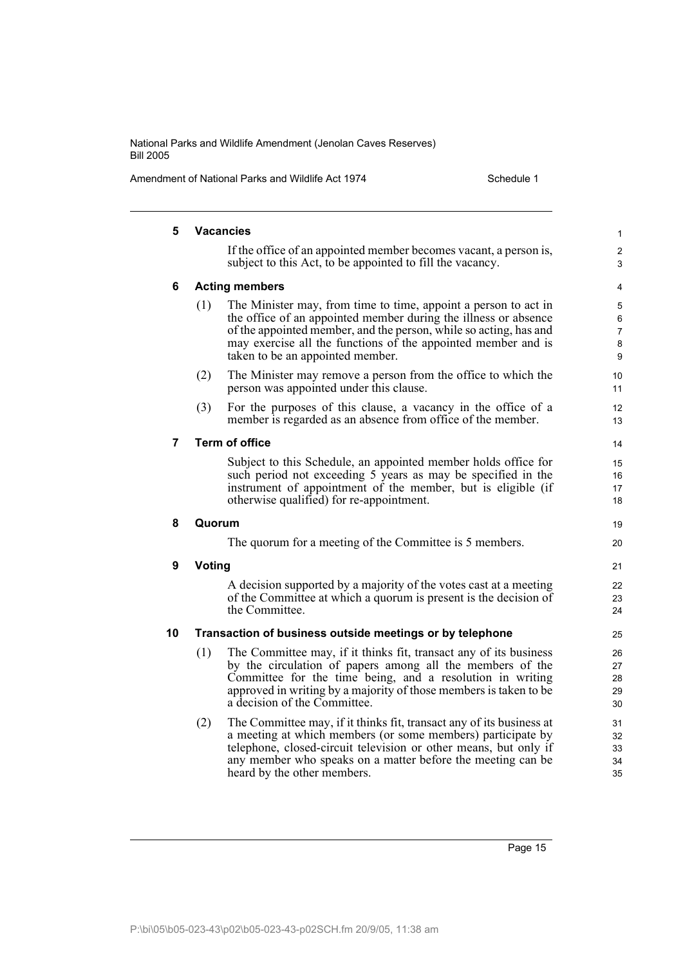Amendment of National Parks and Wildlife Act 1974 Schedule 1

| 5  |        | <b>Vacancies</b>                                                                                                                                                                                                                                                                                             | $\mathbf{1}$                             |
|----|--------|--------------------------------------------------------------------------------------------------------------------------------------------------------------------------------------------------------------------------------------------------------------------------------------------------------------|------------------------------------------|
|    |        | If the office of an appointed member becomes vacant, a person is,<br>subject to this Act, to be appointed to fill the vacancy.                                                                                                                                                                               | 2<br>3                                   |
| 6  |        | <b>Acting members</b>                                                                                                                                                                                                                                                                                        | 4                                        |
|    | (1)    | The Minister may, from time to time, appoint a person to act in<br>the office of an appointed member during the illness or absence<br>of the appointed member, and the person, while so acting, has and<br>may exercise all the functions of the appointed member and is<br>taken to be an appointed member. | 5<br>6<br>$\overline{7}$<br>$\bf 8$<br>9 |
|    | (2)    | The Minister may remove a person from the office to which the<br>person was appointed under this clause.                                                                                                                                                                                                     | 10<br>11                                 |
|    | (3)    | For the purposes of this clause, a vacancy in the office of a<br>member is regarded as an absence from office of the member.                                                                                                                                                                                 | 12<br>13                                 |
| 7  |        | <b>Term of office</b>                                                                                                                                                                                                                                                                                        | 14                                       |
|    |        | Subject to this Schedule, an appointed member holds office for<br>such period not exceeding 5 years as may be specified in the<br>instrument of appointment of the member, but is eligible (if<br>otherwise qualified) for re-appointment.                                                                   | 15<br>16<br>17<br>18                     |
| 8  | Quorum |                                                                                                                                                                                                                                                                                                              | 19                                       |
|    |        | The quorum for a meeting of the Committee is 5 members.                                                                                                                                                                                                                                                      | 20                                       |
| 9  | Voting |                                                                                                                                                                                                                                                                                                              | 21                                       |
|    |        | A decision supported by a majority of the votes cast at a meeting<br>of the Committee at which a quorum is present is the decision of<br>the Committee.                                                                                                                                                      | 22<br>23<br>24                           |
| 10 |        | Transaction of business outside meetings or by telephone                                                                                                                                                                                                                                                     | 25                                       |
|    | (1)    | The Committee may, if it thinks fit, transact any of its business<br>by the circulation of papers among all the members of the<br>Committee for the time being, and a resolution in writing<br>approved in writing by a majority of those members is taken to be<br>a decision of the Committee.             | 26<br>27<br>28<br>29<br>30               |
|    | (2)    | The Committee may, if it thinks fit, transact any of its business at<br>a meeting at which members (or some members) participate by<br>telephone, closed-circuit television or other means, but only if<br>any member who speaks on a matter before the meeting can be<br>heard by the other members.        | 31<br>32<br>33<br>34<br>35               |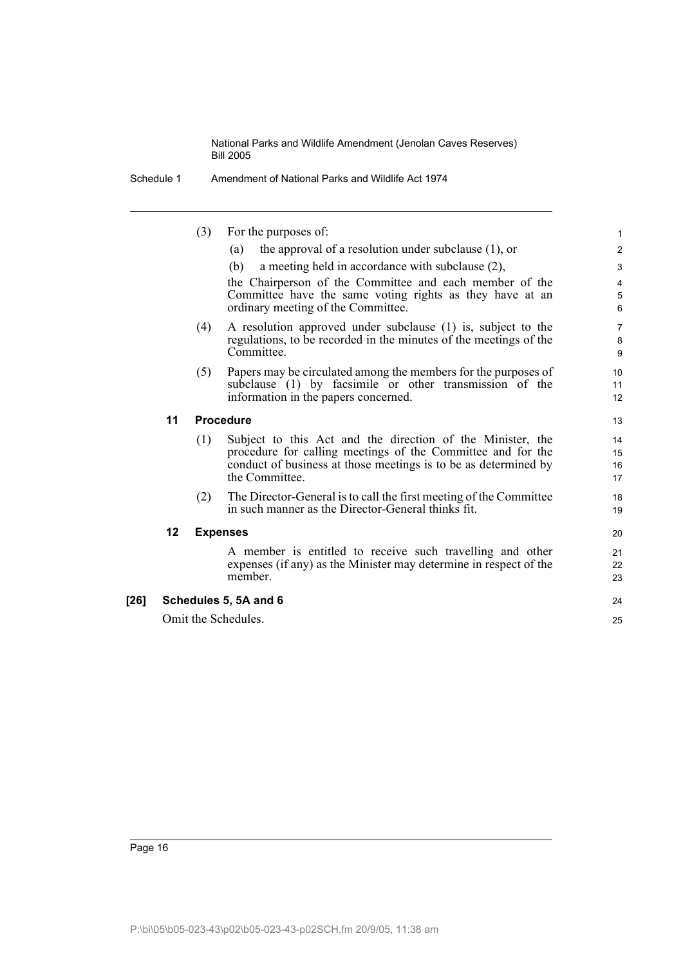|    | (3) | For the purposes of:                                                                                                                                                                                           |
|----|-----|----------------------------------------------------------------------------------------------------------------------------------------------------------------------------------------------------------------|
|    |     | the approval of a resolution under subclause $(1)$ , or<br>(a)                                                                                                                                                 |
|    |     | a meeting held in accordance with subclause (2),<br>(b)                                                                                                                                                        |
|    |     | the Chairperson of the Committee and each member of the<br>Committee have the same voting rights as they have at an<br>ordinary meeting of the Committee.                                                      |
|    | (4) | A resolution approved under subclause (1) is, subject to the<br>regulations, to be recorded in the minutes of the meetings of the<br>Committee.                                                                |
|    | (5) | Papers may be circulated among the members for the purposes of<br>subclause (1) by facsimile or other transmission of the<br>information in the papers concerned.                                              |
| 11 |     | <b>Procedure</b>                                                                                                                                                                                               |
|    | (1) | Subject to this Act and the direction of the Minister, the<br>procedure for calling meetings of the Committee and for the<br>conduct of business at those meetings is to be as determined by<br>the Committee. |
|    | (2) | The Director-General is to call the first meeting of the Committee<br>in such manner as the Director-General thinks fit.                                                                                       |
| 12 |     | <b>Expenses</b>                                                                                                                                                                                                |
|    |     | A member is entitled to receive such travelling and other<br>expenses (if any) as the Minister may determine in respect of the<br>member.                                                                      |
|    |     | Schedules 5, 5A and 6                                                                                                                                                                                          |
|    |     | Omit the Schedules.                                                                                                                                                                                            |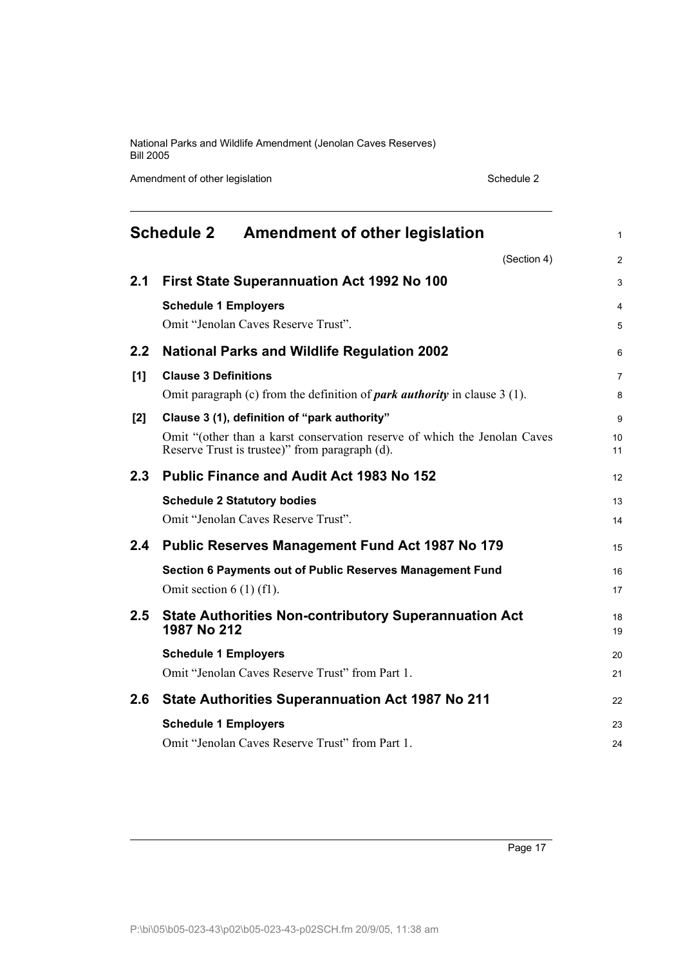Amendment of other legislation Schedule 2

| <b>Schedule 2</b><br>Amendment of other legislation |                                                                                                                             | 1        |
|-----------------------------------------------------|-----------------------------------------------------------------------------------------------------------------------------|----------|
|                                                     | (Section 4)                                                                                                                 | 2        |
| 2.1                                                 | <b>First State Superannuation Act 1992 No 100</b>                                                                           | 3        |
|                                                     | <b>Schedule 1 Employers</b>                                                                                                 | 4        |
|                                                     | Omit "Jenolan Caves Reserve Trust".                                                                                         | 5        |
| 2.2                                                 | <b>National Parks and Wildlife Regulation 2002</b>                                                                          | 6        |
| [1]                                                 | <b>Clause 3 Definitions</b>                                                                                                 | 7        |
|                                                     | Omit paragraph (c) from the definition of <i>park authority</i> in clause $3(1)$ .                                          | 8        |
| [2]                                                 | Clause 3 (1), definition of "park authority"                                                                                | 9        |
|                                                     | Omit "(other than a karst conservation reserve of which the Jenolan Caves<br>Reserve Trust is trustee)" from paragraph (d). | 10<br>11 |
| 2.3                                                 | <b>Public Finance and Audit Act 1983 No 152</b>                                                                             | 12       |
|                                                     | <b>Schedule 2 Statutory bodies</b>                                                                                          | 13       |
|                                                     | Omit "Jenolan Caves Reserve Trust".                                                                                         | 14       |
| 2.4                                                 | Public Reserves Management Fund Act 1987 No 179                                                                             | 15       |
|                                                     | Section 6 Payments out of Public Reserves Management Fund                                                                   | 16       |
|                                                     | Omit section $6(1)$ (f1).                                                                                                   | 17       |
| 2.5                                                 | <b>State Authorities Non-contributory Superannuation Act</b><br>1987 No 212                                                 | 18<br>19 |
|                                                     | <b>Schedule 1 Employers</b>                                                                                                 | 20       |
|                                                     | Omit "Jenolan Caves Reserve Trust" from Part 1.                                                                             | 21       |
| 2.6                                                 | <b>State Authorities Superannuation Act 1987 No 211</b>                                                                     | 22       |
|                                                     | <b>Schedule 1 Employers</b>                                                                                                 | 23       |
|                                                     | Omit "Jenolan Caves Reserve Trust" from Part 1.                                                                             | 24       |